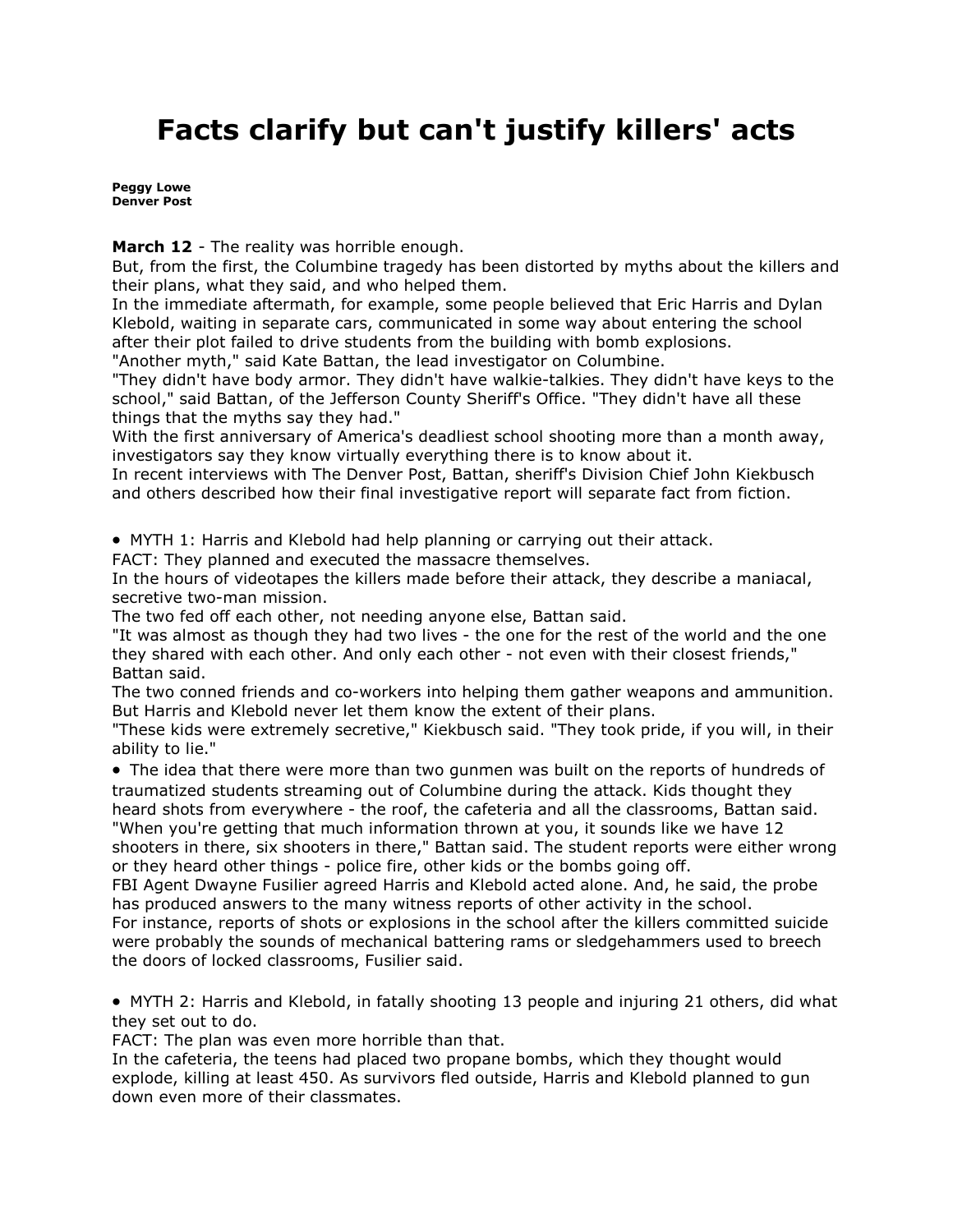## **Facts clarify but can't justify killers' acts**

**[Peggy Lowe](mailto:plowe@denverpost.com) Denver Post**

**March 12** - The reality was horrible enough.

But, from the first, the Columbine tragedy has been distorted by myths about the killers and their plans, what they said, and who helped them.

In the immediate aftermath, for example, some people believed that Eric Harris and Dylan Klebold, waiting in separate cars, communicated in some way about entering the school after their plot failed to drive students from the building with bomb explosions.

"Another myth," said Kate Battan, the lead investigator on Columbine.

"They didn't have body armor. They didn't have walkie-talkies. They didn't have keys to the school," said Battan, of the Jefferson County Sheriff's Office. "They didn't have all these things that the myths say they had."

With the first anniversary of America's deadliest school shooting more than a month away, investigators say they know virtually everything there is to know about it.

In recent interviews with The Denver Post, Battan, sheriff's Division Chief John Kiekbusch and others described how their final investigative report will separate fact from fiction.

• MYTH 1: Harris and Klebold had help planning or carrying out their attack.

FACT: They planned and executed the massacre themselves.

In the hours of videotapes the killers made before their attack, they describe a maniacal, secretive two-man mission.

The two fed off each other, not needing anyone else, Battan said.

"It was almost as though they had two lives - the one for the rest of the world and the one they shared with each other. And only each other - not even with their closest friends," Battan said.

The two conned friends and co-workers into helping them gather weapons and ammunition. But Harris and Klebold never let them know the extent of their plans.

"These kids were extremely secretive," Kiekbusch said. "They took pride, if you will, in their ability to lie."

• The idea that there were more than two gunmen was built on the reports of hundreds of traumatized students streaming out of Columbine during the attack. Kids thought they heard shots from everywhere - the roof, the cafeteria and all the classrooms, Battan said.

"When you're getting that much information thrown at you, it sounds like we have 12 shooters in there, six shooters in there," Battan said. The student reports were either wrong or they heard other things - police fire, other kids or the bombs going off.

FBI Agent Dwayne Fusilier agreed Harris and Klebold acted alone. And, he said, the probe has produced answers to the many witness reports of other activity in the school.

For instance, reports of shots or explosions in the school after the killers committed suicide were probably the sounds of mechanical battering rams or sledgehammers used to breech the doors of locked classrooms, Fusilier said.

• MYTH 2: Harris and Klebold, in fatally shooting 13 people and injuring 21 others, did what they set out to do.

FACT: The plan was even more horrible than that.

In the cafeteria, the teens had placed two propane bombs, which they thought would explode, killing at least 450. As survivors fled outside, Harris and Klebold planned to gun down even more of their classmates.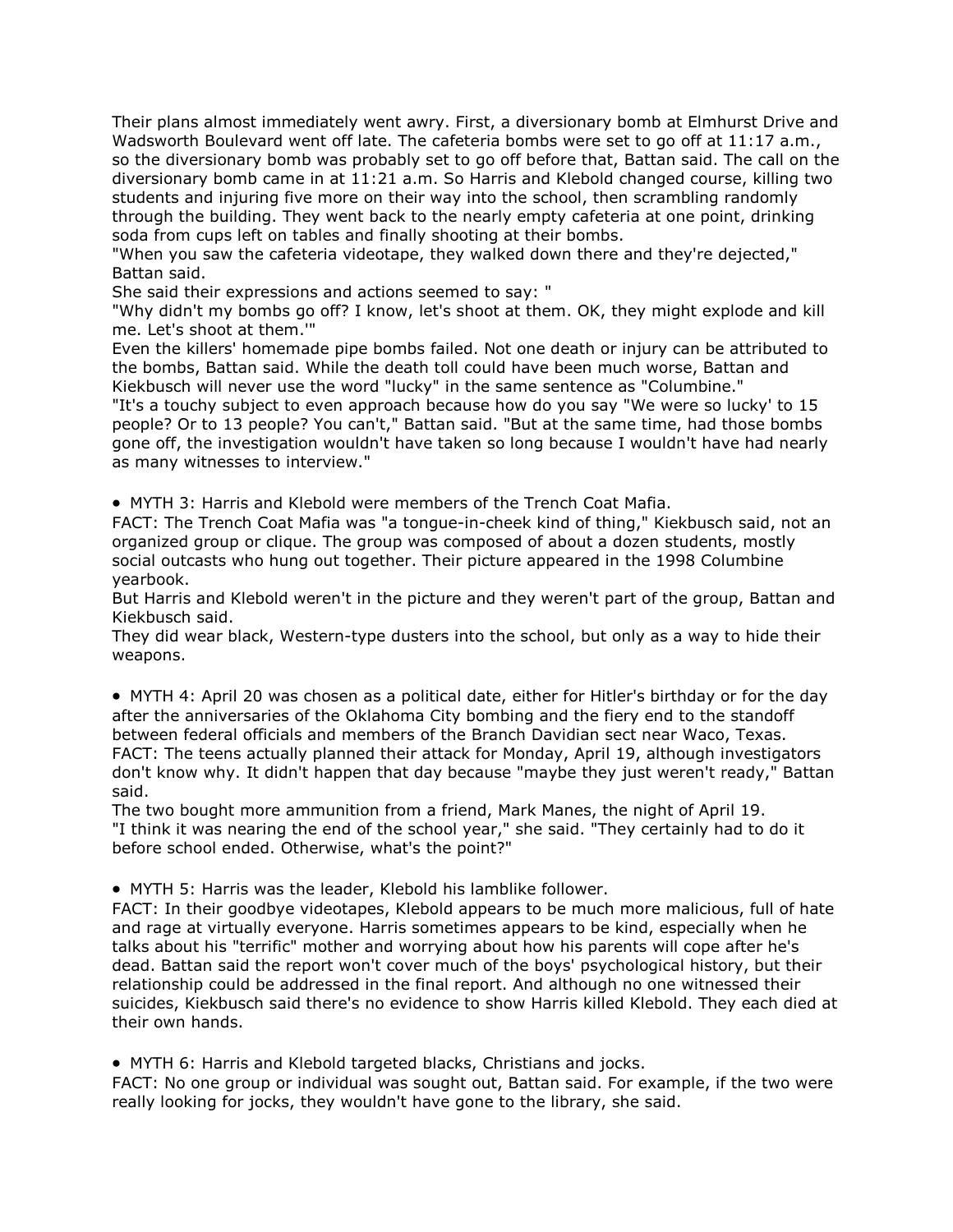Their plans almost immediately went awry. First, a diversionary bomb at Elmhurst Drive and Wadsworth Boulevard went off late. The cafeteria bombs were set to go off at 11:17 a.m., so the diversionary bomb was probably set to go off before that, Battan said. The call on the diversionary bomb came in at 11:21 a.m. So Harris and Klebold changed course, killing two students and injuring five more on their way into the school, then scrambling randomly through the building. They went back to the nearly empty cafeteria at one point, drinking soda from cups left on tables and finally shooting at their bombs.

"When you saw the cafeteria videotape, they walked down there and they're dejected," Battan said.

She said their expressions and actions seemed to say: "

"Why didn't my bombs go off? I know, let's shoot at them. OK, they might explode and kill me. Let's shoot at them.'"

Even the killers' homemade pipe bombs failed. Not one death or injury can be attributed to the bombs, Battan said. While the death toll could have been much worse, Battan and Kiekbusch will never use the word "lucky" in the same sentence as "Columbine."

"It's a touchy subject to even approach because how do you say "We were so lucky' to 15 people? Or to 13 people? You can't," Battan said. "But at the same time, had those bombs gone off, the investigation wouldn't have taken so long because I wouldn't have had nearly as many witnesses to interview."

• MYTH 3: Harris and Klebold were members of the Trench Coat Mafia.

FACT: The Trench Coat Mafia was "a tongue-in-cheek kind of thing," Kiekbusch said, not an organized group or clique. The group was composed of about a dozen students, mostly social outcasts who hung out together. Their picture appeared in the 1998 Columbine yearbook.

But Harris and Klebold weren't in the picture and they weren't part of the group, Battan and Kiekbusch said.

They did wear black, Western-type dusters into the school, but only as a way to hide their weapons.

• MYTH 4: April 20 was chosen as a political date, either for Hitler's birthday or for the day after the anniversaries of the Oklahoma City bombing and the fiery end to the standoff between federal officials and members of the Branch Davidian sect near Waco, Texas. FACT: The teens actually planned their attack for Monday, April 19, although investigators don't know why. It didn't happen that day because "maybe they just weren't ready," Battan said.

The two bought more ammunition from a friend, Mark Manes, the night of April 19. "I think it was nearing the end of the school year," she said. "They certainly had to do it before school ended. Otherwise, what's the point?"

• MYTH 5: Harris was the leader, Klebold his lamblike follower.

FACT: In their goodbye videotapes, Klebold appears to be much more malicious, full of hate and rage at virtually everyone. Harris sometimes appears to be kind, especially when he talks about his "terrific" mother and worrying about how his parents will cope after he's dead. Battan said the report won't cover much of the boys' psychological history, but their relationship could be addressed in the final report. And although no one witnessed their suicides, Kiekbusch said there's no evidence to show Harris killed Klebold. They each died at their own hands.

• MYTH 6: Harris and Klebold targeted blacks, Christians and jocks.

FACT: No one group or individual was sought out, Battan said. For example, if the two were really looking for jocks, they wouldn't have gone to the library, she said.